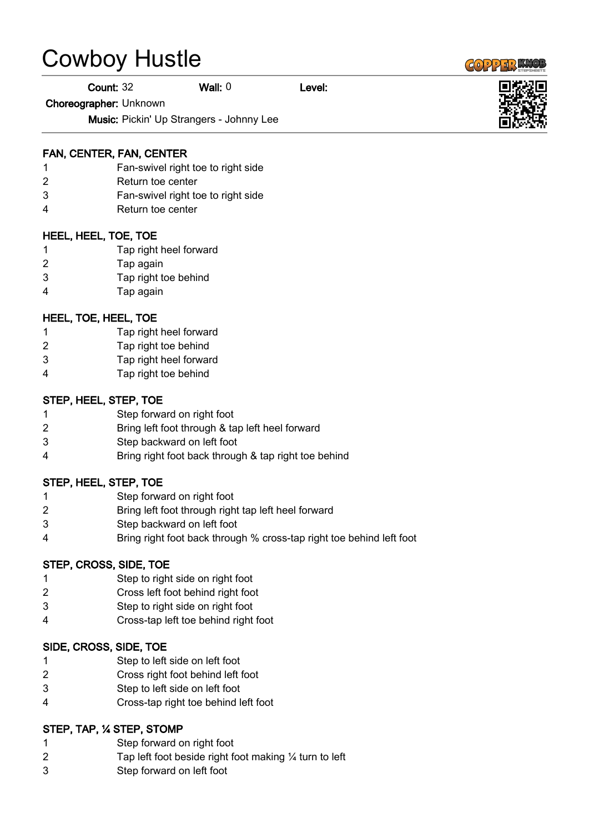# Cowboy Hustle

Count: 32 Wall: 0 Level:

Choreographer: Unknown

Music: Pickin' Up Strangers - Johnny Lee

#### FAN, CENTER, FAN, CENTER

- Fan-swivel right toe to right side
- Return toe center
- Fan-swivel right toe to right side
- Return toe center

#### HEEL, HEEL, TOE, TOE

- Tap right heel forward
- Tap again
- Tap right toe behind
- Tap again

### HEEL, TOE, HEEL, TOE

- Tap right heel forward
- Tap right toe behind
- Tap right heel forward
- Tap right toe behind

#### STEP, HEEL, STEP, TOE

- Step forward on right foot
- Bring left foot through & tap left heel forward
- Step backward on left foot
- Bring right foot back through & tap right toe behind

#### STEP, HEEL, STEP, TOE

- Step forward on right foot
- Bring left foot through right tap left heel forward
- Step backward on left foot
- Bring right foot back through % cross-tap right toe behind left foot

#### STEP, CROSS, SIDE, TOE

- Step to right side on right foot
- Cross left foot behind right foot
- Step to right side on right foot
- Cross-tap left toe behind right foot

#### SIDE, CROSS, SIDE, TOE

- Step to left side on left foot
- Cross right foot behind left foot
- Step to left side on left foot
- Cross-tap right toe behind left foot

#### STEP, TAP, ¼ STEP, STOMP

- Step forward on right foot
- Tap left foot beside right foot making ¼ turn to left
- Step forward on left foot